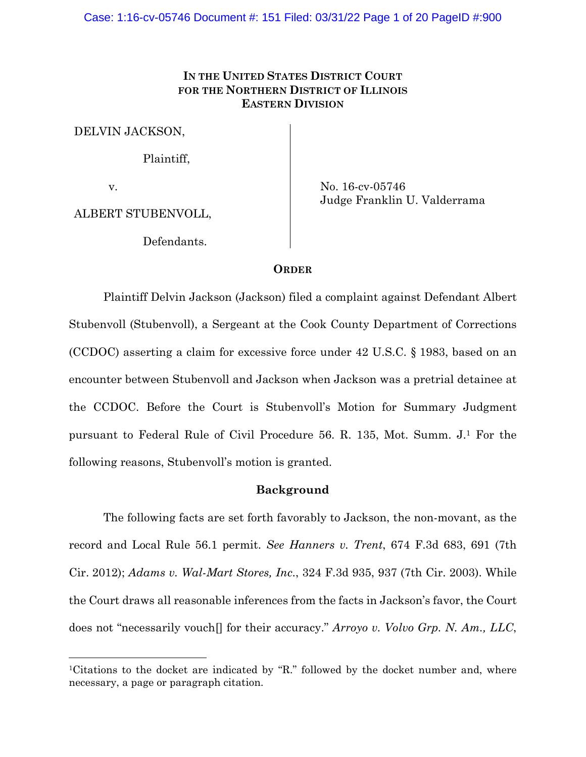# **IN THE UNITED STATES DISTRICT COURT FOR THE NORTHERN DISTRICT OF ILLINOIS EASTERN DIVISION**

DELVIN JACKSON,

Plaintiff,

v.

ALBERT STUBENVOLL,

Defendants.

No. 16-cv-05746 Judge Franklin U. Valderrama

### **ORDER**

 Plaintiff Delvin Jackson (Jackson) filed a complaint against Defendant Albert Stubenvoll (Stubenvoll), a Sergeant at the Cook County Department of Corrections (CCDOC) asserting a claim for excessive force under 42 U.S.C. § 1983, based on an encounter between Stubenvoll and Jackson when Jackson was a pretrial detainee at the CCDOC. Before the Court is Stubenvoll's Motion for Summary Judgment pursuant to Federal Rule of Civil Procedure 56. R. 135, Mot. Summ. J.1 For the following reasons, Stubenvoll's motion is granted.

### **Background**

The following facts are set forth favorably to Jackson, the non-movant, as the record and Local Rule 56.1 permit. *See Hanners v. Trent*, 674 F.3d 683, 691 (7th Cir. 2012); *Adams v. Wal-Mart Stores, Inc*., 324 F.3d 935, 937 (7th Cir. 2003). While the Court draws all reasonable inferences from the facts in Jackson's favor, the Court does not "necessarily vouch[] for their accuracy." *Arroyo v. Volvo Grp. N. Am., LLC*,

<sup>&</sup>lt;sup>1</sup>Citations to the docket are indicated by "R." followed by the docket number and, where necessary, a page or paragraph citation.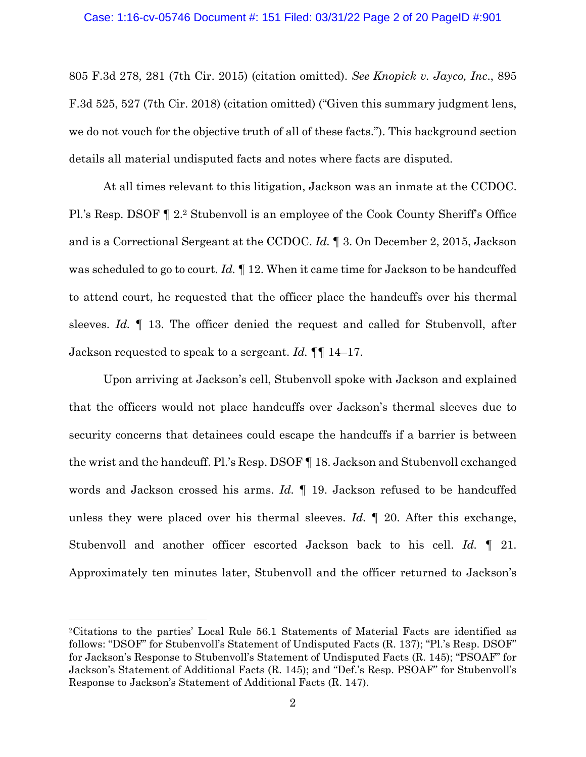#### Case: 1:16-cv-05746 Document #: 151 Filed: 03/31/22 Page 2 of 20 PageID #:901

805 F.3d 278, 281 (7th Cir. 2015) (citation omitted). *See Knopick v. Jayco, Inc*., 895 F.3d 525, 527 (7th Cir. 2018) (citation omitted) ("Given this summary judgment lens, we do not vouch for the objective truth of all of these facts."). This background section details all material undisputed facts and notes where facts are disputed.

At all times relevant to this litigation, Jackson was an inmate at the CCDOC. Pl.'s Resp. DSOF ¶ 2.2 Stubenvoll is an employee of the Cook County Sheriff's Office and is a Correctional Sergeant at the CCDOC. *Id.* ¶ 3. On December 2, 2015, Jackson was scheduled to go to court. *Id.* ¶ 12. When it came time for Jackson to be handcuffed to attend court, he requested that the officer place the handcuffs over his thermal sleeves. *Id.* ¶ 13. The officer denied the request and called for Stubenvoll, after Jackson requested to speak to a sergeant. *Id.* ¶¶ 14–17.

Upon arriving at Jackson's cell, Stubenvoll spoke with Jackson and explained that the officers would not place handcuffs over Jackson's thermal sleeves due to security concerns that detainees could escape the handcuffs if a barrier is between the wrist and the handcuff. Pl.'s Resp. DSOF ¶ 18. Jackson and Stubenvoll exchanged words and Jackson crossed his arms. *Id.* ¶ 19. Jackson refused to be handcuffed unless they were placed over his thermal sleeves. *Id.* ¶ 20. After this exchange, Stubenvoll and another officer escorted Jackson back to his cell. *Id.* ¶ 21. Approximately ten minutes later, Stubenvoll and the officer returned to Jackson's

<sup>2</sup>Citations to the parties' Local Rule 56.1 Statements of Material Facts are identified as follows: "DSOF" for Stubenvoll's Statement of Undisputed Facts (R. 137); "Pl.'s Resp. DSOF" for Jackson's Response to Stubenvoll's Statement of Undisputed Facts (R. 145); "PSOAF" for Jackson's Statement of Additional Facts (R. 145); and "Def.'s Resp. PSOAF" for Stubenvoll's Response to Jackson's Statement of Additional Facts (R. 147).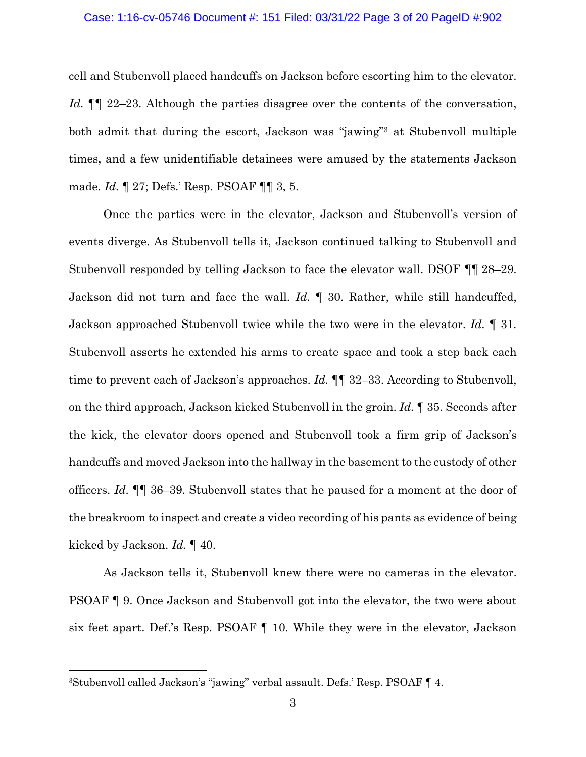#### Case: 1:16-cv-05746 Document #: 151 Filed: 03/31/22 Page 3 of 20 PageID #:902

cell and Stubenvoll placed handcuffs on Jackson before escorting him to the elevator. *Id.*  $\P$  22–23. Although the parties disagree over the contents of the conversation, both admit that during the escort, Jackson was "jawing"3 at Stubenvoll multiple times, and a few unidentifiable detainees were amused by the statements Jackson made. *Id.* ¶ 27; Defs.' Resp. PSOAF ¶¶ 3, 5.

Once the parties were in the elevator, Jackson and Stubenvoll's version of events diverge. As Stubenvoll tells it, Jackson continued talking to Stubenvoll and Stubenvoll responded by telling Jackson to face the elevator wall. DSOF ¶¶ 28–29. Jackson did not turn and face the wall. *Id.* ¶ 30. Rather, while still handcuffed, Jackson approached Stubenvoll twice while the two were in the elevator. *Id.* ¶ 31. Stubenvoll asserts he extended his arms to create space and took a step back each time to prevent each of Jackson's approaches. *Id.* ¶¶ 32–33. According to Stubenvoll, on the third approach, Jackson kicked Stubenvoll in the groin. *Id.* ¶ 35. Seconds after the kick, the elevator doors opened and Stubenvoll took a firm grip of Jackson's handcuffs and moved Jackson into the hallway in the basement to the custody of other officers. *Id.* ¶¶ 36–39. Stubenvoll states that he paused for a moment at the door of the breakroom to inspect and create a video recording of his pants as evidence of being kicked by Jackson. *Id.* ¶ 40.

As Jackson tells it, Stubenvoll knew there were no cameras in the elevator. PSOAF ¶ 9. Once Jackson and Stubenvoll got into the elevator, the two were about six feet apart. Def.'s Resp. PSOAF ¶ 10. While they were in the elevator, Jackson

<sup>3</sup>Stubenvoll called Jackson's "jawing" verbal assault. Defs.' Resp. PSOAF ¶ 4.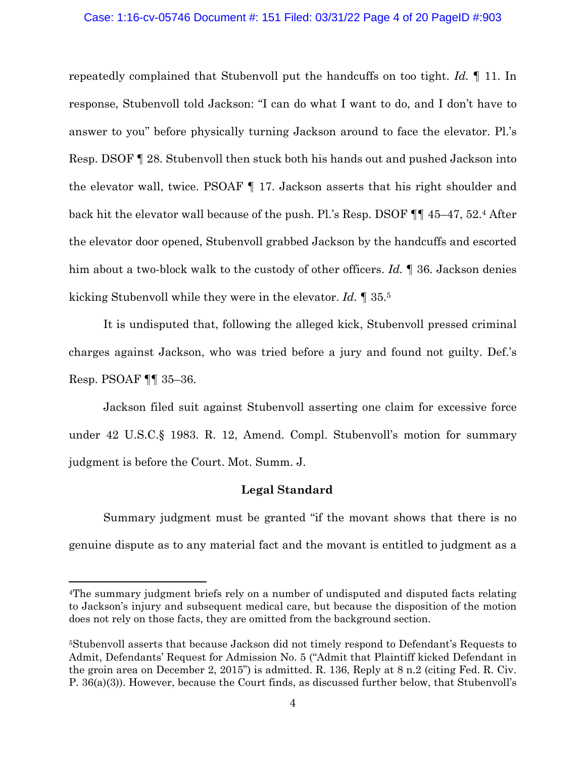#### Case: 1:16-cv-05746 Document #: 151 Filed: 03/31/22 Page 4 of 20 PageID #:903

repeatedly complained that Stubenvoll put the handcuffs on too tight. *Id.* ¶ 11. In response, Stubenvoll told Jackson: "I can do what I want to do, and I don't have to answer to you" before physically turning Jackson around to face the elevator. Pl.'s Resp. DSOF ¶ 28. Stubenvoll then stuck both his hands out and pushed Jackson into the elevator wall, twice. PSOAF ¶ 17. Jackson asserts that his right shoulder and back hit the elevator wall because of the push. Pl.'s Resp. DSOF ¶¶ 45–47, 52.4 After the elevator door opened, Stubenvoll grabbed Jackson by the handcuffs and escorted him about a two-block walk to the custody of other officers. *Id.* ¶ 36. Jackson denies kicking Stubenvoll while they were in the elevator. *Id.* ¶ 35.5

It is undisputed that, following the alleged kick, Stubenvoll pressed criminal charges against Jackson, who was tried before a jury and found not guilty. Def.'s Resp. PSOAF ¶¶ 35–36.

Jackson filed suit against Stubenvoll asserting one claim for excessive force under 42 U.S.C.§ 1983. R. 12, Amend. Compl. Stubenvoll's motion for summary judgment is before the Court. Mot. Summ. J.

### **Legal Standard**

Summary judgment must be granted "if the movant shows that there is no genuine dispute as to any material fact and the movant is entitled to judgment as a

<sup>4</sup>The summary judgment briefs rely on a number of undisputed and disputed facts relating to Jackson's injury and subsequent medical care, but because the disposition of the motion does not rely on those facts, they are omitted from the background section.

<sup>5</sup>Stubenvoll asserts that because Jackson did not timely respond to Defendant's Requests to Admit, Defendants' Request for Admission No. 5 ("Admit that Plaintiff kicked Defendant in the groin area on December 2, 2015") is admitted. R. 136, Reply at 8 n.2 (citing Fed. R. Civ. P. 36(a)(3)). However, because the Court finds, as discussed further below, that Stubenvoll's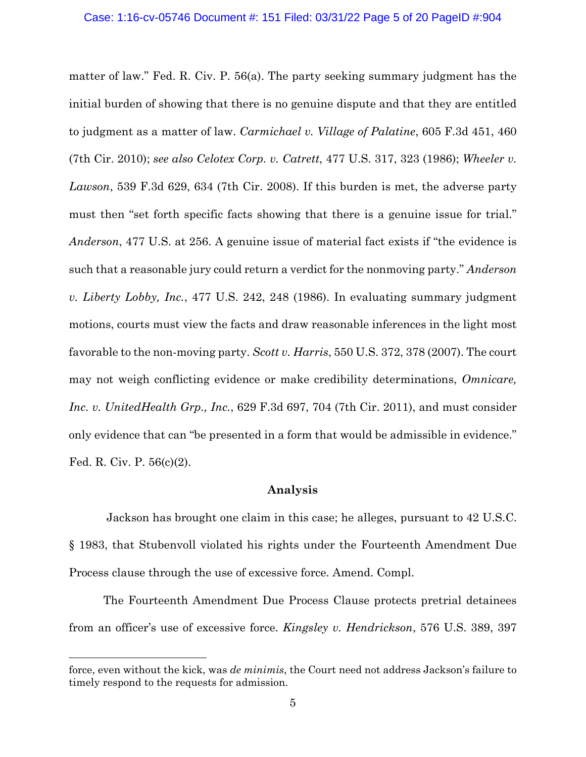#### Case: 1:16-cv-05746 Document #: 151 Filed: 03/31/22 Page 5 of 20 PageID #:904

matter of law." Fed. R. Civ. P. 56(a). The party seeking summary judgment has the initial burden of showing that there is no genuine dispute and that they are entitled to judgment as a matter of law. *Carmichael v. Village of Palatine*, 605 F.3d 451, 460 (7th Cir. 2010); *see also Celotex Corp. v. Catrett*, 477 U.S. 317, 323 (1986); *Wheeler v. Lawson*, 539 F.3d 629, 634 (7th Cir. 2008). If this burden is met, the adverse party must then "set forth specific facts showing that there is a genuine issue for trial." *Anderson*, 477 U.S. at 256. A genuine issue of material fact exists if "the evidence is such that a reasonable jury could return a verdict for the nonmoving party." *Anderson v. Liberty Lobby, Inc.*, 477 U.S. 242, 248 (1986). In evaluating summary judgment motions, courts must view the facts and draw reasonable inferences in the light most favorable to the non-moving party. *Scott v. Harris*, 550 U.S. 372, 378 (2007). The court may not weigh conflicting evidence or make credibility determinations, *Omnicare, Inc. v. UnitedHealth Grp., Inc.*, 629 F.3d 697, 704 (7th Cir. 2011), and must consider only evidence that can "be presented in a form that would be admissible in evidence." Fed. R. Civ. P. 56(c)(2).

### **Analysis**

 Jackson has brought one claim in this case; he alleges, pursuant to 42 U.S.C. § 1983, that Stubenvoll violated his rights under the Fourteenth Amendment Due Process clause through the use of excessive force. Amend. Compl.

The Fourteenth Amendment Due Process Clause protects pretrial detainees from an officer's use of excessive force. *Kingsley v. Hendrickson*, 576 U.S. 389, 397

force, even without the kick, was *de minimis*, the Court need not address Jackson's failure to timely respond to the requests for admission.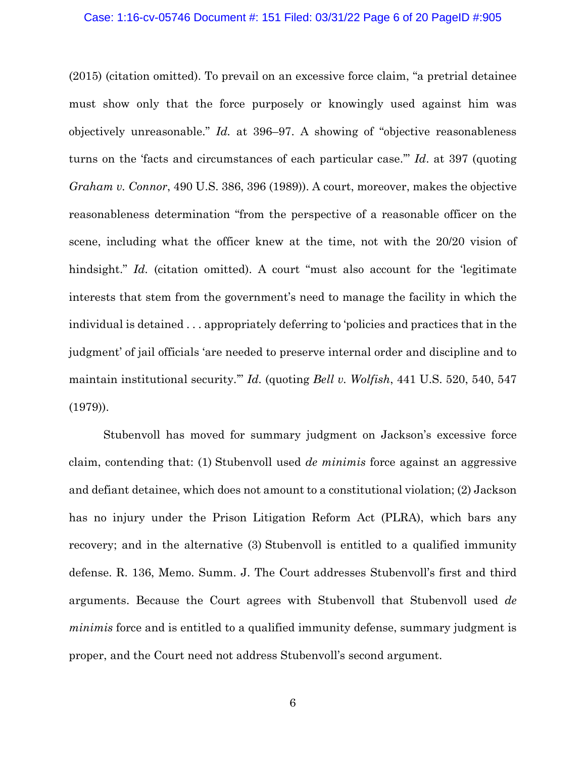#### Case: 1:16-cv-05746 Document #: 151 Filed: 03/31/22 Page 6 of 20 PageID #:905

(2015) (citation omitted). To prevail on an excessive force claim, "a pretrial detainee must show only that the force purposely or knowingly used against him was objectively unreasonable." *Id.* at 396–97. A showing of "objective reasonableness turns on the 'facts and circumstances of each particular case.'" *Id*. at 397 (quoting *Graham v. Connor*, 490 U.S. 386, 396 (1989)). A court, moreover, makes the objective reasonableness determination "from the perspective of a reasonable officer on the scene, including what the officer knew at the time, not with the 20/20 vision of hindsight." *Id.* (citation omitted). A court "must also account for the 'legitimate interests that stem from the government's need to manage the facility in which the individual is detained . . . appropriately deferring to 'policies and practices that in the judgment' of jail officials 'are needed to preserve internal order and discipline and to maintain institutional security.'" *Id.* (quoting *Bell v. Wolfish*, 441 U.S. 520, 540, 547 (1979)).

Stubenvoll has moved for summary judgment on Jackson's excessive force claim, contending that: (1) Stubenvoll used *de minimis* force against an aggressive and defiant detainee, which does not amount to a constitutional violation; (2) Jackson has no injury under the Prison Litigation Reform Act (PLRA), which bars any recovery; and in the alternative (3) Stubenvoll is entitled to a qualified immunity defense. R. 136, Memo. Summ. J. The Court addresses Stubenvoll's first and third arguments. Because the Court agrees with Stubenvoll that Stubenvoll used *de minimis* force and is entitled to a qualified immunity defense, summary judgment is proper, and the Court need not address Stubenvoll's second argument.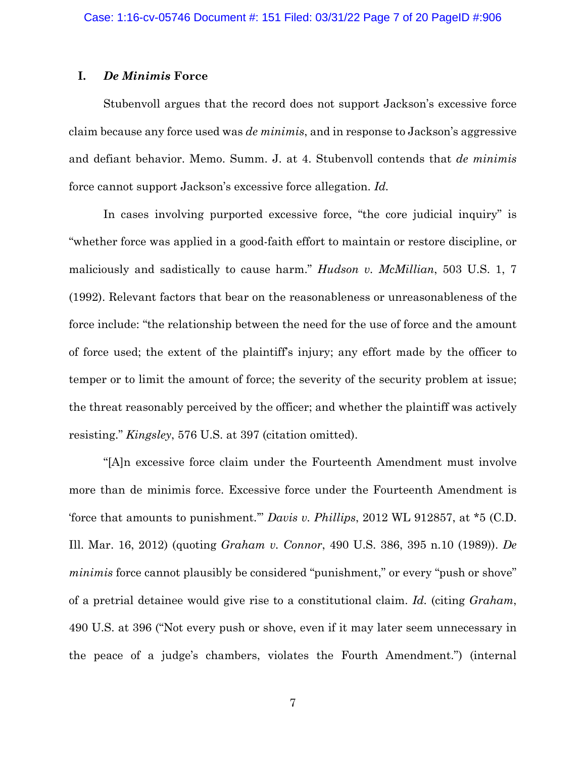## **I.** *De Minimis* **Force**

Stubenvoll argues that the record does not support Jackson's excessive force claim because any force used was *de minimis*, and in response to Jackson's aggressive and defiant behavior. Memo. Summ. J. at 4. Stubenvoll contends that *de minimis*  force cannot support Jackson's excessive force allegation. *Id.*

In cases involving purported excessive force, "the core judicial inquiry" is "whether force was applied in a good-faith effort to maintain or restore discipline, or maliciously and sadistically to cause harm." *Hudson v. McMillian*, 503 U.S. 1, 7 (1992). Relevant factors that bear on the reasonableness or unreasonableness of the force include: "the relationship between the need for the use of force and the amount of force used; the extent of the plaintiff's injury; any effort made by the officer to temper or to limit the amount of force; the severity of the security problem at issue; the threat reasonably perceived by the officer; and whether the plaintiff was actively resisting." *Kingsley*, 576 U.S. at 397 (citation omitted).

"[A]n excessive force claim under the Fourteenth Amendment must involve more than de minimis force. Excessive force under the Fourteenth Amendment is 'force that amounts to punishment.'" *Davis v. Phillips*, 2012 WL 912857, at \*5 (C.D. Ill. Mar. 16, 2012) (quoting *Graham v. Connor*, 490 U.S. 386, 395 n.10 (1989)). *De minimis* force cannot plausibly be considered "punishment," or every "push or shove" of a pretrial detainee would give rise to a constitutional claim. *Id.* (citing *Graham*, 490 U.S. at 396 ("Not every push or shove, even if it may later seem unnecessary in the peace of a judge's chambers, violates the Fourth Amendment.") (internal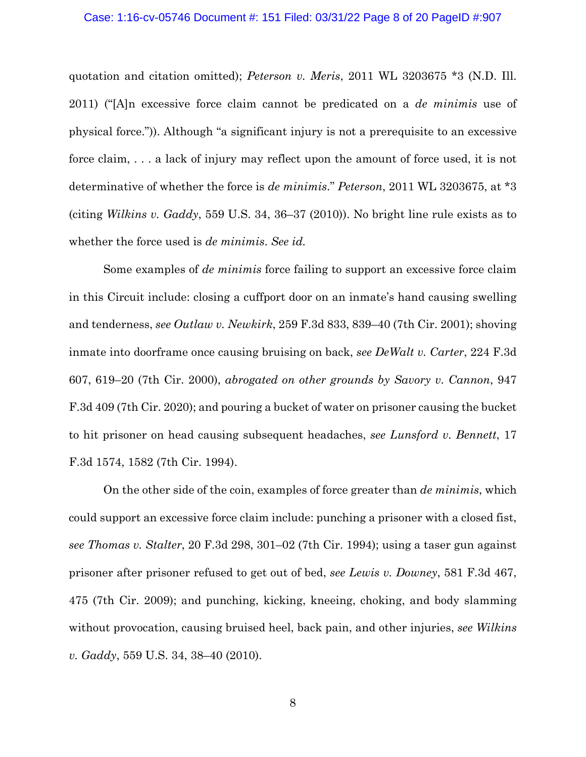#### Case: 1:16-cv-05746 Document #: 151 Filed: 03/31/22 Page 8 of 20 PageID #:907

quotation and citation omitted); *Peterson v. Meris*, 2011 WL 3203675 \*3 (N.D. Ill. 2011) ("[A]n excessive force claim cannot be predicated on a *de minimis* use of physical force.")). Although "a significant injury is not a prerequisite to an excessive force claim, . . . a lack of injury may reflect upon the amount of force used, it is not determinative of whether the force is *de minimis*." *Peterson*, 2011 WL 3203675, at \*3 (citing *Wilkins v. Gaddy*, 559 U.S. 34, 36–37 (2010)). No bright line rule exists as to whether the force used is *de minimis*. *See id.*

Some examples of *de minimis* force failing to support an excessive force claim in this Circuit include: closing a cuffport door on an inmate's hand causing swelling and tenderness, *see Outlaw v. Newkirk*, 259 F.3d 833, 839–40 (7th Cir. 2001); shoving inmate into doorframe once causing bruising on back, *see DeWalt v. Carter*, 224 F.3d 607, 619–20 (7th Cir. 2000), *abrogated on other grounds by Savory v. Cannon*, 947 F.3d 409 (7th Cir. 2020); and pouring a bucket of water on prisoner causing the bucket to hit prisoner on head causing subsequent headaches, *see Lunsford v. Bennett*, 17 F.3d 1574, 1582 (7th Cir. 1994).

On the other side of the coin, examples of force greater than *de minimis*, which could support an excessive force claim include: punching a prisoner with a closed fist, *see Thomas v. Stalter*, 20 F.3d 298, 301–02 (7th Cir. 1994); using a taser gun against prisoner after prisoner refused to get out of bed, *see Lewis v. Downey*, 581 F.3d 467, 475 (7th Cir. 2009); and punching, kicking, kneeing, choking, and body slamming without provocation, causing bruised heel, back pain, and other injuries, *see Wilkins v. Gaddy*, 559 U.S. 34, 38–40 (2010).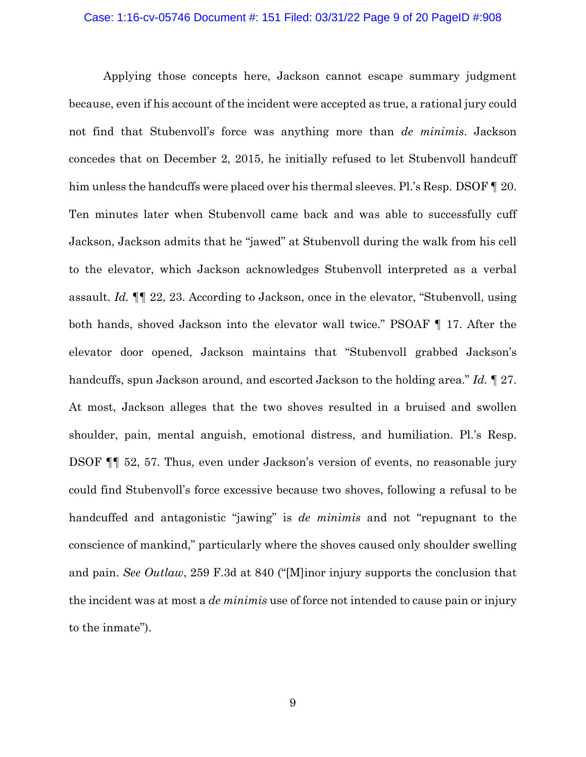#### Case: 1:16-cv-05746 Document #: 151 Filed: 03/31/22 Page 9 of 20 PageID #:908

Applying those concepts here, Jackson cannot escape summary judgment because, even if his account of the incident were accepted as true, a rational jury could not find that Stubenvoll's force was anything more than *de minimis*. Jackson concedes that on December 2, 2015, he initially refused to let Stubenvoll handcuff him unless the handcuffs were placed over his thermal sleeves. Pl.'s Resp. DSOF ¶ 20. Ten minutes later when Stubenvoll came back and was able to successfully cuff Jackson, Jackson admits that he "jawed" at Stubenvoll during the walk from his cell to the elevator, which Jackson acknowledges Stubenvoll interpreted as a verbal assault. *Id.* ¶¶ 22, 23. According to Jackson, once in the elevator, "Stubenvoll, using both hands, shoved Jackson into the elevator wall twice." PSOAF ¶ 17. After the elevator door opened, Jackson maintains that "Stubenvoll grabbed Jackson's handcuffs, spun Jackson around, and escorted Jackson to the holding area." *Id.* ¶ 27. At most, Jackson alleges that the two shoves resulted in a bruised and swollen shoulder, pain, mental anguish, emotional distress, and humiliation. Pl.'s Resp. DSOF ¶¶ 52, 57. Thus, even under Jackson's version of events, no reasonable jury could find Stubenvoll's force excessive because two shoves, following a refusal to be handcuffed and antagonistic "jawing" is *de minimis* and not "repugnant to the conscience of mankind," particularly where the shoves caused only shoulder swelling and pain. *See Outlaw*, 259 F.3d at 840 ("[M]inor injury supports the conclusion that the incident was at most a *de minimis* use of force not intended to cause pain or injury to the inmate").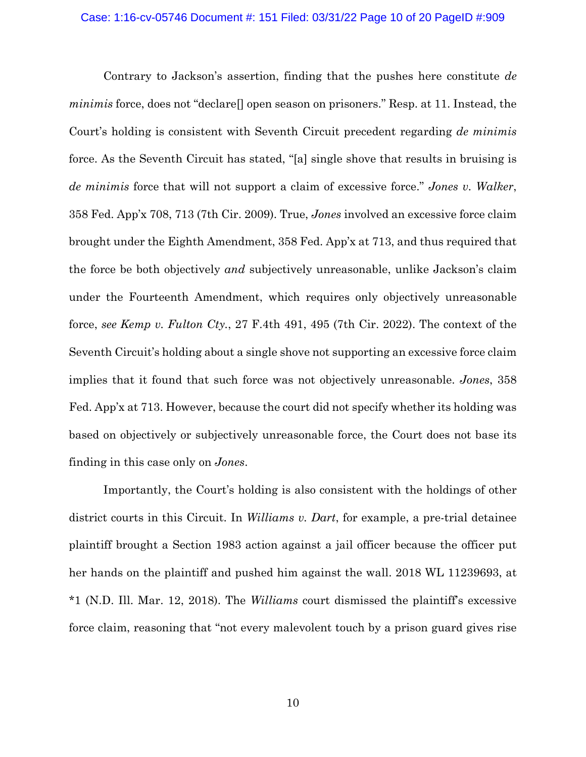#### Case: 1:16-cv-05746 Document #: 151 Filed: 03/31/22 Page 10 of 20 PageID #:909

Contrary to Jackson's assertion, finding that the pushes here constitute *de minimis* force, does not "declare[] open season on prisoners." Resp. at 11. Instead, the Court's holding is consistent with Seventh Circuit precedent regarding *de minimis*  force. As the Seventh Circuit has stated, "[a] single shove that results in bruising is *de minimis* force that will not support a claim of excessive force." *Jones v. Walker*, 358 Fed. App'x 708, 713 (7th Cir. 2009). True, *Jones* involved an excessive force claim brought under the Eighth Amendment, 358 Fed. App'x at 713, and thus required that the force be both objectively *and* subjectively unreasonable, unlike Jackson's claim under the Fourteenth Amendment, which requires only objectively unreasonable force, *see Kemp v. Fulton Cty.*, 27 F.4th 491, 495 (7th Cir. 2022). The context of the Seventh Circuit's holding about a single shove not supporting an excessive force claim implies that it found that such force was not objectively unreasonable. *Jones*, 358 Fed. App'x at 713. However, because the court did not specify whether its holding was based on objectively or subjectively unreasonable force, the Court does not base its finding in this case only on *Jones*.

Importantly, the Court's holding is also consistent with the holdings of other district courts in this Circuit. In *Williams v. Dart*, for example, a pre-trial detainee plaintiff brought a Section 1983 action against a jail officer because the officer put her hands on the plaintiff and pushed him against the wall. 2018 WL 11239693, at \*1 (N.D. Ill. Mar. 12, 2018). The *Williams* court dismissed the plaintiff's excessive force claim, reasoning that "not every malevolent touch by a prison guard gives rise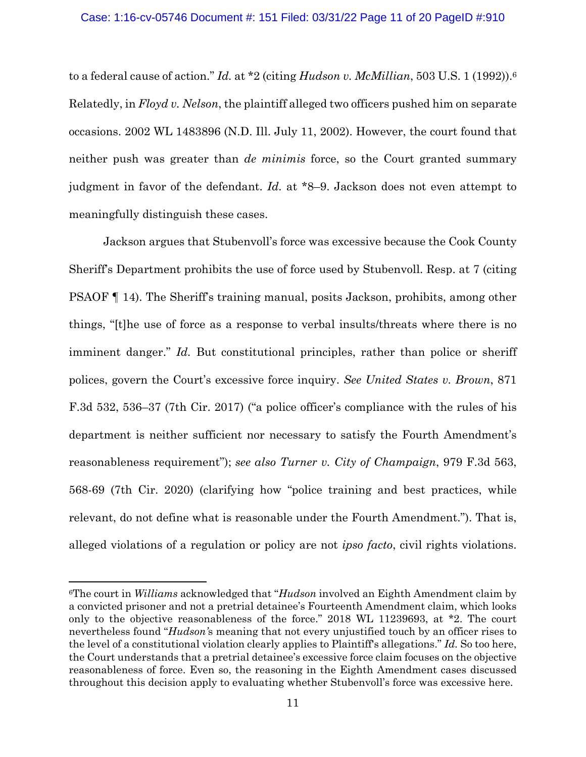#### Case: 1:16-cv-05746 Document #: 151 Filed: 03/31/22 Page 11 of 20 PageID #:910

to a federal cause of action." *Id.* at \*2 (citing *Hudson v. McMillian*, 503 U.S. 1 (1992)).6 Relatedly, in *Floyd v. Nelson*, the plaintiff alleged two officers pushed him on separate occasions. 2002 WL 1483896 (N.D. Ill. July 11, 2002). However, the court found that neither push was greater than *de minimis* force, so the Court granted summary judgment in favor of the defendant. *Id.* at \*8–9. Jackson does not even attempt to meaningfully distinguish these cases.

Jackson argues that Stubenvoll's force was excessive because the Cook County Sheriff's Department prohibits the use of force used by Stubenvoll. Resp. at 7 (citing PSAOF ¶ 14). The Sheriff's training manual, posits Jackson, prohibits, among other things, "[t]he use of force as a response to verbal insults/threats where there is no imminent danger." *Id.* But constitutional principles, rather than police or sheriff polices, govern the Court's excessive force inquiry. *See United States v. Brown*, 871 F.3d 532, 536–37 (7th Cir. 2017) ("a police officer's compliance with the rules of his department is neither sufficient nor necessary to satisfy the Fourth Amendment's reasonableness requirement"); *see also Turner v. City of Champaign*, 979 F.3d 563, 568-69 (7th Cir. 2020) (clarifying how "police training and best practices, while relevant, do not define what is reasonable under the Fourth Amendment."). That is, alleged violations of a regulation or policy are not *ipso facto*, civil rights violations.

<sup>6</sup>The court in *Williams* acknowledged that "*Hudson* involved an Eighth Amendment claim by a convicted prisoner and not a pretrial detainee's Fourteenth Amendment claim, which looks only to the objective reasonableness of the force." 2018 WL 11239693, at \*2. The court nevertheless found "*Hudson'*s meaning that not every unjustified touch by an officer rises to the level of a constitutional violation clearly applies to Plaintiff's allegations." *Id.* So too here, the Court understands that a pretrial detainee's excessive force claim focuses on the objective reasonableness of force. Even so, the reasoning in the Eighth Amendment cases discussed throughout this decision apply to evaluating whether Stubenvoll's force was excessive here.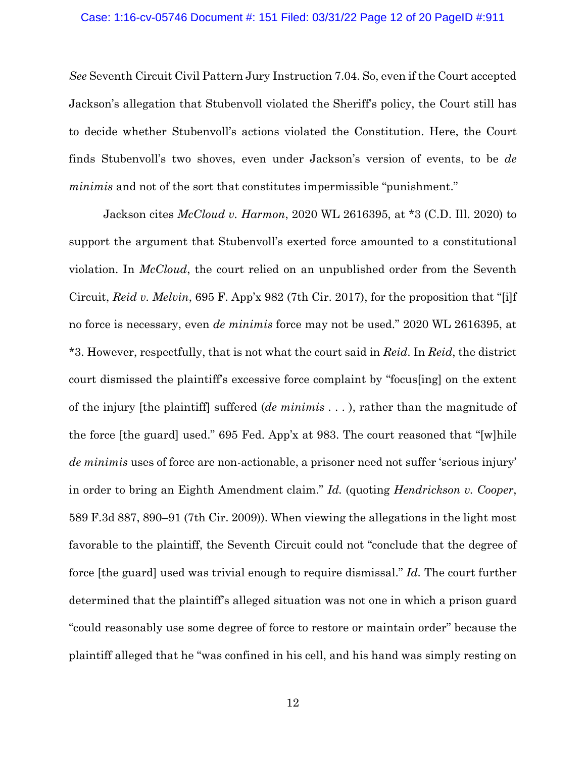#### Case: 1:16-cv-05746 Document #: 151 Filed: 03/31/22 Page 12 of 20 PageID #:911

*See* Seventh Circuit Civil Pattern Jury Instruction 7.04. So, even if the Court accepted Jackson's allegation that Stubenvoll violated the Sheriff's policy, the Court still has to decide whether Stubenvoll's actions violated the Constitution. Here, the Court finds Stubenvoll's two shoves, even under Jackson's version of events, to be *de minimis* and not of the sort that constitutes impermissible "punishment."

Jackson cites *McCloud v. Harmon*, 2020 WL 2616395, at \*3 (C.D. Ill. 2020) to support the argument that Stubenvoll's exerted force amounted to a constitutional violation. In *McCloud*, the court relied on an unpublished order from the Seventh Circuit, *Reid v. Melvin*, 695 F. App'x 982 (7th Cir. 2017), for the proposition that "[i]f no force is necessary, even *de minimis* force may not be used." 2020 WL 2616395, at \*3. However, respectfully, that is not what the court said in *Reid*. In *Reid*, the district court dismissed the plaintiff's excessive force complaint by "focus[ing] on the extent of the injury [the plaintiff] suffered (*de minimis* . . . ), rather than the magnitude of the force [the guard] used." 695 Fed. App'x at 983. The court reasoned that "[w]hile *de minimis* uses of force are non-actionable, a prisoner need not suffer 'serious injury' in order to bring an Eighth Amendment claim." *Id.* (quoting *Hendrickson v. Cooper*, 589 F.3d 887, 890–91 (7th Cir. 2009)). When viewing the allegations in the light most favorable to the plaintiff, the Seventh Circuit could not "conclude that the degree of force [the guard] used was trivial enough to require dismissal." *Id.* The court further determined that the plaintiff's alleged situation was not one in which a prison guard "could reasonably use some degree of force to restore or maintain order" because the plaintiff alleged that he "was confined in his cell, and his hand was simply resting on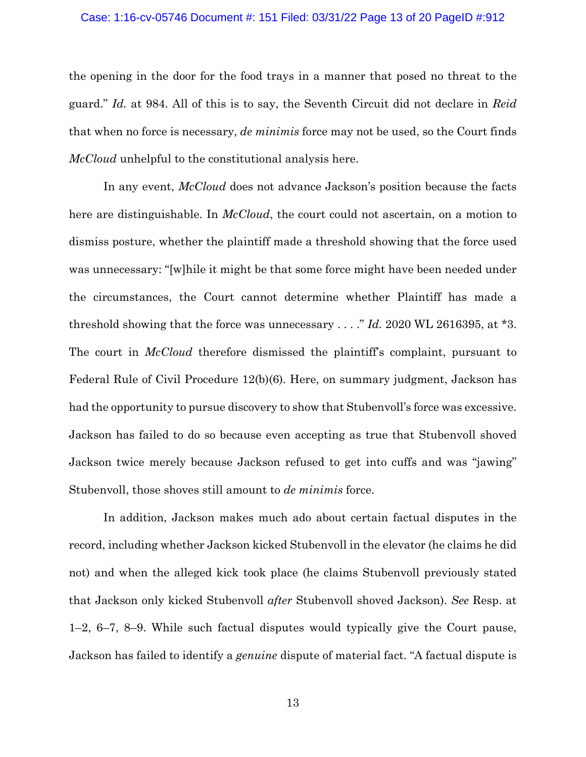#### Case: 1:16-cv-05746 Document #: 151 Filed: 03/31/22 Page 13 of 20 PageID #:912

the opening in the door for the food trays in a manner that posed no threat to the guard." *Id.* at 984. All of this is to say, the Seventh Circuit did not declare in *Reid*  that when no force is necessary, *de minimis* force may not be used, so the Court finds *McCloud* unhelpful to the constitutional analysis here.

In any event, *McCloud* does not advance Jackson's position because the facts here are distinguishable. In *McCloud*, the court could not ascertain, on a motion to dismiss posture, whether the plaintiff made a threshold showing that the force used was unnecessary: "[w]hile it might be that some force might have been needed under the circumstances, the Court cannot determine whether Plaintiff has made a threshold showing that the force was unnecessary . . . ." *Id.* 2020 WL 2616395, at \*3. The court in *McCloud* therefore dismissed the plaintiff's complaint, pursuant to Federal Rule of Civil Procedure 12(b)(6). Here, on summary judgment, Jackson has had the opportunity to pursue discovery to show that Stubenvoll's force was excessive. Jackson has failed to do so because even accepting as true that Stubenvoll shoved Jackson twice merely because Jackson refused to get into cuffs and was "jawing" Stubenvoll, those shoves still amount to *de minimis* force.

In addition, Jackson makes much ado about certain factual disputes in the record, including whether Jackson kicked Stubenvoll in the elevator (he claims he did not) and when the alleged kick took place (he claims Stubenvoll previously stated that Jackson only kicked Stubenvoll *after* Stubenvoll shoved Jackson). *See* Resp. at 1–2, 6–7, 8–9. While such factual disputes would typically give the Court pause, Jackson has failed to identify a *genuine* dispute of material fact. "A factual dispute is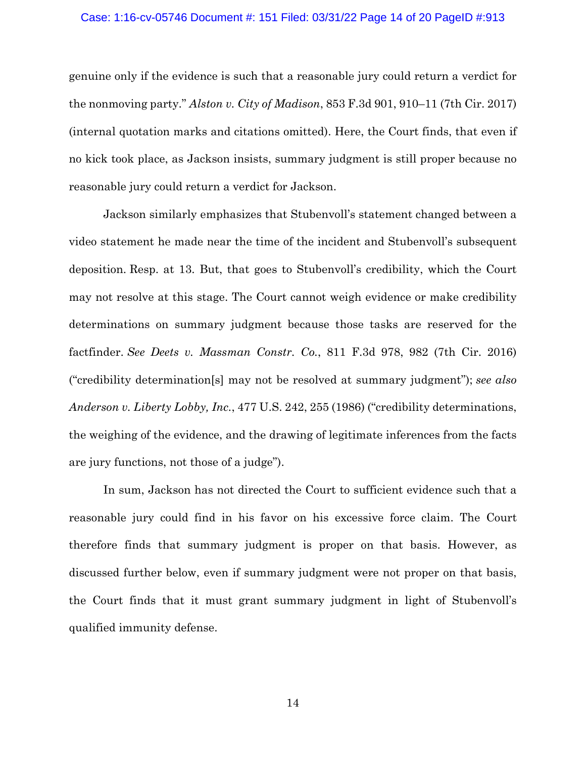#### Case: 1:16-cv-05746 Document #: 151 Filed: 03/31/22 Page 14 of 20 PageID #:913

genuine only if the evidence is such that a reasonable jury could return a verdict for the nonmoving party." *Alston v. City of Madison*, 853 F.3d 901, 910–11 (7th Cir. 2017) (internal quotation marks and citations omitted). Here, the Court finds, that even if no kick took place, as Jackson insists, summary judgment is still proper because no reasonable jury could return a verdict for Jackson.

Jackson similarly emphasizes that Stubenvoll's statement changed between a video statement he made near the time of the incident and Stubenvoll's subsequent deposition. Resp. at 13. But, that goes to Stubenvoll's credibility, which the Court may not resolve at this stage. The Court cannot weigh evidence or make credibility determinations on summary judgment because those tasks are reserved for the factfinder. *See Deets v. Massman Constr. Co.*, 811 F.3d 978, 982 (7th Cir. 2016) ("credibility determination[s] may not be resolved at summary judgment"); *see also Anderson v. Liberty Lobby, Inc.*, 477 U.S. 242, 255 (1986) ("credibility determinations, the weighing of the evidence, and the drawing of legitimate inferences from the facts are jury functions, not those of a judge").

In sum, Jackson has not directed the Court to sufficient evidence such that a reasonable jury could find in his favor on his excessive force claim. The Court therefore finds that summary judgment is proper on that basis. However, as discussed further below, even if summary judgment were not proper on that basis, the Court finds that it must grant summary judgment in light of Stubenvoll's qualified immunity defense.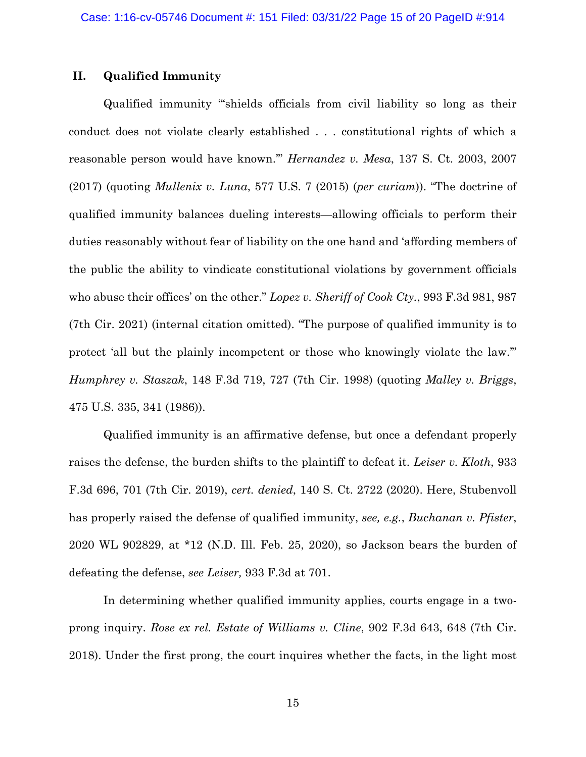### **II. Qualified Immunity**

Qualified immunity "'shields officials from civil liability so long as their conduct does not violate clearly established . . . constitutional rights of which a reasonable person would have known.'" *Hernandez v. Mesa*, 137 S. Ct. 2003, 2007 (2017) (quoting *Mullenix v. Luna*, 577 U.S. 7 (2015) (*per curiam*)). "The doctrine of qualified immunity balances dueling interests—allowing officials to perform their duties reasonably without fear of liability on the one hand and 'affording members of the public the ability to vindicate constitutional violations by government officials who abuse their offices' on the other." *Lopez v. Sheriff of Cook Cty.*, 993 F.3d 981, 987 (7th Cir. 2021) (internal citation omitted). "The purpose of qualified immunity is to protect 'all but the plainly incompetent or those who knowingly violate the law.'" *Humphrey v. Staszak*, 148 F.3d 719, 727 (7th Cir. 1998) (quoting *Malley v. Briggs*, 475 U.S. 335, 341 (1986)).

Qualified immunity is an affirmative defense, but once a defendant properly raises the defense, the burden shifts to the plaintiff to defeat it. *Leiser v. Kloth*, 933 F.3d 696, 701 (7th Cir. 2019), *cert. denied*, 140 S. Ct. 2722 (2020). Here, Stubenvoll has properly raised the defense of qualified immunity, *see, e.g.*, *Buchanan v. Pfister*, 2020 WL 902829, at \*12 (N.D. Ill. Feb. 25, 2020), so Jackson bears the burden of defeating the defense, *see Leiser,* 933 F.3d at 701.

In determining whether qualified immunity applies, courts engage in a twoprong inquiry. *Rose ex rel. Estate of Williams v. Cline*, 902 F.3d 643, 648 (7th Cir. 2018). Under the first prong, the court inquires whether the facts, in the light most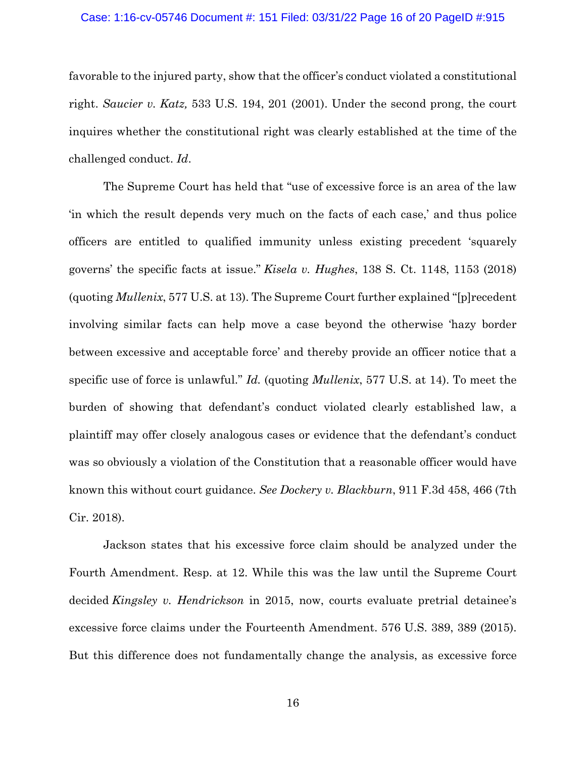#### Case: 1:16-cv-05746 Document #: 151 Filed: 03/31/22 Page 16 of 20 PageID #:915

favorable to the injured party, show that the officer's conduct violated a constitutional right. *Saucier v. Katz,* 533 U.S. 194, 201 (2001). Under the second prong, the court inquires whether the constitutional right was clearly established at the time of the challenged conduct. *Id*.

The Supreme Court has held that "use of excessive force is an area of the law 'in which the result depends very much on the facts of each case,' and thus police officers are entitled to qualified immunity unless existing precedent 'squarely governs' the specific facts at issue." *Kisela v. Hughes*, 138 S. Ct. 1148, 1153 (2018) (quoting *Mullenix*, 577 U.S. at 13). The Supreme Court further explained "[p]recedent involving similar facts can help move a case beyond the otherwise 'hazy border between excessive and acceptable force' and thereby provide an officer notice that a specific use of force is unlawful." *Id.* (quoting *Mullenix*, 577 U.S. at 14). To meet the burden of showing that defendant's conduct violated clearly established law, a plaintiff may offer closely analogous cases or evidence that the defendant's conduct was so obviously a violation of the Constitution that a reasonable officer would have known this without court guidance. *See Dockery v. Blackburn*, 911 F.3d 458, 466 (7th Cir. 2018).

Jackson states that his excessive force claim should be analyzed under the Fourth Amendment. Resp. at 12. While this was the law until the Supreme Court decided *Kingsley v. Hendrickson* in 2015, now, courts evaluate pretrial detainee's excessive force claims under the Fourteenth Amendment. 576 U.S. 389, 389 (2015). But this difference does not fundamentally change the analysis, as excessive force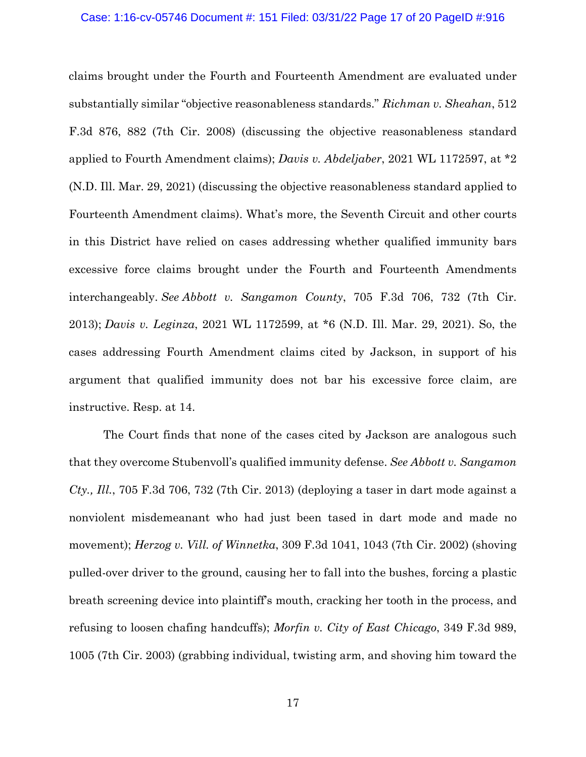claims brought under the Fourth and Fourteenth Amendment are evaluated under substantially similar "objective reasonableness standards." *Richman v. Sheahan*, 512 F.3d 876, 882 (7th Cir. 2008) (discussing the objective reasonableness standard applied to Fourth Amendment claims); *Davis v. Abdeljaber*, 2021 WL 1172597, at \*2 (N.D. Ill. Mar. 29, 2021) (discussing the objective reasonableness standard applied to Fourteenth Amendment claims). What's more, the Seventh Circuit and other courts in this District have relied on cases addressing whether qualified immunity bars excessive force claims brought under the Fourth and Fourteenth Amendments interchangeably. *See Abbott v. Sangamon County*, 705 F.3d 706, 732 (7th Cir. 2013); *Davis v. Leginza*, 2021 WL 1172599, at \*6 (N.D. Ill. Mar. 29, 2021). So, the cases addressing Fourth Amendment claims cited by Jackson, in support of his argument that qualified immunity does not bar his excessive force claim, are instructive. Resp. at 14.

The Court finds that none of the cases cited by Jackson are analogous such that they overcome Stubenvoll's qualified immunity defense. *See Abbott v. Sangamon Cty., Ill.*, 705 F.3d 706, 732 (7th Cir. 2013) (deploying a taser in dart mode against a nonviolent misdemeanant who had just been tased in dart mode and made no movement); *Herzog v. Vill. of Winnetka*, 309 F.3d 1041, 1043 (7th Cir. 2002) (shoving pulled-over driver to the ground, causing her to fall into the bushes, forcing a plastic breath screening device into plaintiff's mouth, cracking her tooth in the process, and refusing to loosen chafing handcuffs); *Morfin v. City of East Chicago*, 349 F.3d 989, 1005 (7th Cir. 2003) (grabbing individual, twisting arm, and shoving him toward the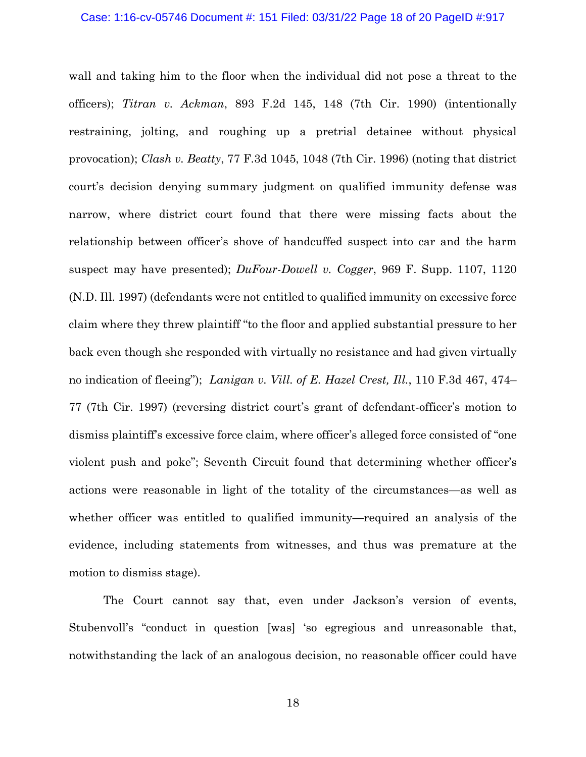wall and taking him to the floor when the individual did not pose a threat to the officers); *Titran v. Ackman*, 893 F.2d 145, 148 (7th Cir. 1990) (intentionally restraining, jolting, and roughing up a pretrial detainee without physical provocation); *Clash v. Beatty*, 77 F.3d 1045, 1048 (7th Cir. 1996) (noting that district court's decision denying summary judgment on qualified immunity defense was narrow, where district court found that there were missing facts about the relationship between officer's shove of handcuffed suspect into car and the harm suspect may have presented); *DuFour-Dowell v. Cogger*, 969 F. Supp. 1107, 1120 (N.D. Ill. 1997) (defendants were not entitled to qualified immunity on excessive force claim where they threw plaintiff "to the floor and applied substantial pressure to her back even though she responded with virtually no resistance and had given virtually no indication of fleeing"); *Lanigan v. Vill. of E. Hazel Crest, Ill.*, 110 F.3d 467, 474– 77 (7th Cir. 1997) (reversing district court's grant of defendant-officer's motion to dismiss plaintiff's excessive force claim, where officer's alleged force consisted of "one violent push and poke"; Seventh Circuit found that determining whether officer's actions were reasonable in light of the totality of the circumstances—as well as whether officer was entitled to qualified immunity—required an analysis of the evidence, including statements from witnesses, and thus was premature at the motion to dismiss stage).

The Court cannot say that, even under Jackson's version of events, Stubenvoll's "conduct in question [was] 'so egregious and unreasonable that, notwithstanding the lack of an analogous decision, no reasonable officer could have

18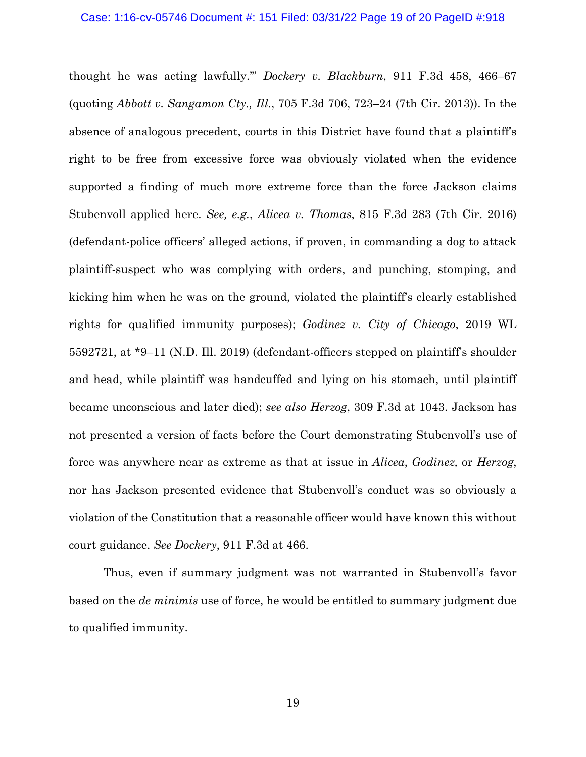#### Case: 1:16-cv-05746 Document #: 151 Filed: 03/31/22 Page 19 of 20 PageID #:918

thought he was acting lawfully.'" *Dockery v. Blackburn*, 911 F.3d 458, 466–67 (quoting *Abbott v. Sangamon Cty., Ill.*, 705 F.3d 706, 723–24 (7th Cir. 2013)). In the absence of analogous precedent, courts in this District have found that a plaintiff's right to be free from excessive force was obviously violated when the evidence supported a finding of much more extreme force than the force Jackson claims Stubenvoll applied here. *See, e.g.*, *Alicea v. Thomas*, 815 F.3d 283 (7th Cir. 2016) (defendant-police officers' alleged actions, if proven, in commanding a dog to attack plaintiff-suspect who was complying with orders, and punching, stomping, and kicking him when he was on the ground, violated the plaintiff's clearly established rights for qualified immunity purposes); *Godinez v. City of Chicago*, 2019 WL 5592721, at \*9–11 (N.D. Ill. 2019) (defendant-officers stepped on plaintiff's shoulder and head, while plaintiff was handcuffed and lying on his stomach, until plaintiff became unconscious and later died); *see also Herzog*, 309 F.3d at 1043. Jackson has not presented a version of facts before the Court demonstrating Stubenvoll's use of force was anywhere near as extreme as that at issue in *Alicea*, *Godinez,* or *Herzog*, nor has Jackson presented evidence that Stubenvoll's conduct was so obviously a violation of the Constitution that a reasonable officer would have known this without court guidance. *See Dockery*, 911 F.3d at 466.

Thus, even if summary judgment was not warranted in Stubenvoll's favor based on the *de minimis* use of force, he would be entitled to summary judgment due to qualified immunity.